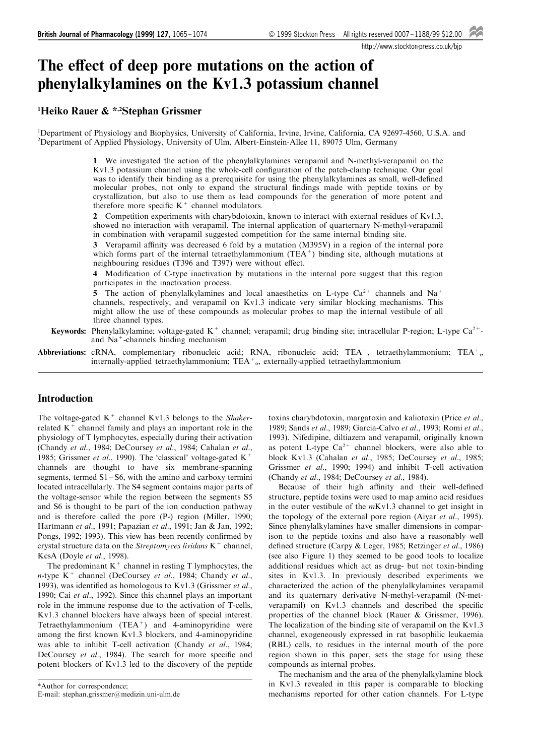http://www.stockton-press.co.uk/bjp

# The effect of deep pore mutations on the action of phenylalkylamines on the Kv1.3 potassium channel

# 1 Heiko Rauer & \*,2Stephan Grissmer

<sup>1</sup>Department of Physiology and Biophysics, University of California, Irvine, Irvine, California, CA 92697-4560, U.S.A. and 2 Department of Applied Physiology, University of Ulm, Albert-Einstein-Allee 11, 89075 Ulm, Germany

> 1 We investigated the action of the phenylalkylamines verapamil and N-methyl-verapamil on the Kv1.3 potassium channel using the whole-cell configuration of the patch-clamp technique. Our goal was to identify their binding as a prerequisite for using the phenylalkylamines as small, well-defined molecular probes, not only to expand the structural findings made with peptide toxins or by crystallization, but also to use them as lead compounds for the generation of more potent and therefore more specific  $K^+$  channel modulators.

> 2 Competition experiments with charybdotoxin, known to interact with external residues of Kv1.3, showed no interaction with verapamil. The internal application of quarternary N-methyl-verapamil in combination with verapamil suggested competition for the same internal binding site.

> 3 Verapamil affinity was decreased 6 fold by a mutation (M395V) in a region of the internal pore which forms part of the internal tetraethylammonium  $(TEA<sup>+</sup>)$  binding site, although mutations at neighbouring residues (T396 and T397) were without effect.

> 4 Modification of C-type inactivation by mutations in the internal pore suggest that this region participates in the inactivation process.

> 5 The action of phenylalkylamines and local anaesthetics on L-type  $Ca^{2+}$  channels and Na<sup>+</sup> channels, respectively, and verapamil on Kv1.3 indicate very similar blocking mechanisms. This might allow the use of these compounds as molecular probes to map the internal vestibule of all three channel types.

Keywords: Phenylalkylamine; voltage-gated  $K^+$  channel; verapamil; drug binding site; intracellular P-region; L-type Ca<sup>2+</sup>and Na+-channels binding mechanism

Abbreviations: cRNA, complementary ribonucleic acid; RNA, ribonucleic acid; TEA<sup>+</sup>, tetraethylammonium; TEA<sup>+</sup><sub>i</sub>, internally-applied tetraethylammonium;  $TEA<sup>+</sup>$ <sub>o</sub>, externally-applied tetraethylammonium

# Introduction

The voltage-gated  $K^+$  channel Kv1.3 belongs to the Shakerrelated  $K^+$  channel family and plays an important role in the physiology of T lymphocytes, especially during their activation (Chandy et al., 1984; DeCoursey et al., 1984; Cahalan et al., 1985; Grissmer et al., 1990). The 'classical' voltage-gated  $K^+$ channels are thought to have six membrane-spanning segments, termed  $S1 - S6$ , with the amino and carboxy termini located intracellularly. The S4 segment contains major parts of the voltage-sensor while the region between the segments S5 and S6 is thought to be part of the ion conduction pathway and is therefore called the pore (P-) region (Miller, 1990; Hartmann et al., 1991; Papazian et al., 1991; Jan & Jan, 1992; Pongs, 1992; 1993). This view has been recently confirmed by crystal structure data on the Streptomyces lividans  $K^+$  channel, KcsA (Doyle et al., 1998).

The predominant  $K^+$  channel in resting T lymphocytes, the n-type  $K^+$  channel (DeCoursey et al., 1984; Chandy et al., 1993), was identified as homologous to Kv1.3 (Grissmer et al., 1990; Cai et al., 1992). Since this channel plays an important role in the immune response due to the activation of T-cells, Kv1.3 channel blockers have always been of special interest. Tetraethylammonium (TEA<sup>+</sup>) and 4-aminopyridine were among the first known Kv1.3 blockers, and 4-aminopyridine was able to inhibit T-cell activation (Chandy et al., 1984; DeCoursey et al., 1984). The search for more specific and potent blockers of Kv1.3 led to the discovery of the peptide

\*Author for correspondence; E-mail: stephan.grissmer@medizin.uni-ulm.de

toxins charybdotoxin, margatoxin and kaliotoxin (Price et al., 1989; Sands et al., 1989; Garcia-Calvo et al., 1993; Romi et al., 1993). Nifedipine, diltiazem and verapamil, originally known as potent L-type  $Ca^{2+}$  channel blockers, were also able to block Kv1.3 (Cahalan et al., 1985; DeCoursey et al., 1985; Grissmer et al., 1990; 1994) and inhibit T-cell activation (Chandy et al., 1984; DeCoursey et al., 1984).

Because of their high affinity and their well-defined structure, peptide toxins were used to map amino acid residues in the outer vestibule of the  $mKv1.3$  channel to get insight in the topology of the external pore region (Aiyar *et al.*, 1995). Since phenylalkylamines have smaller dimensions in comparison to the peptide toxins and also have a reasonably well defined structure (Carpy & Leger, 1985; Retzinger et al., 1986) (see also Figure 1) they seemed to be good tools to localize additional residues which act as drug- but not toxin-binding sites in Kv1.3. In previously described experiments we characterized the action of the phenylalkylamines verapamil and its quaternary derivative N-methyl-verapamil (N-metverapamil) on Kv1.3 channels and described the specific properties of the channel block (Rauer & Grissmer, 1996). The localization of the binding site of verapamil on the Kv1.3 channel, exogeneously expressed in rat basophilic leukaemia (RBL) cells, to residues in the internal mouth of the pore region shown in this paper, sets the stage for using these compounds as internal probes.

The mechanism and the area of the phenylalkylamine block in Kv1.3 revealed in this paper is comparable to blocking mechanisms reported for other cation channels. For L-type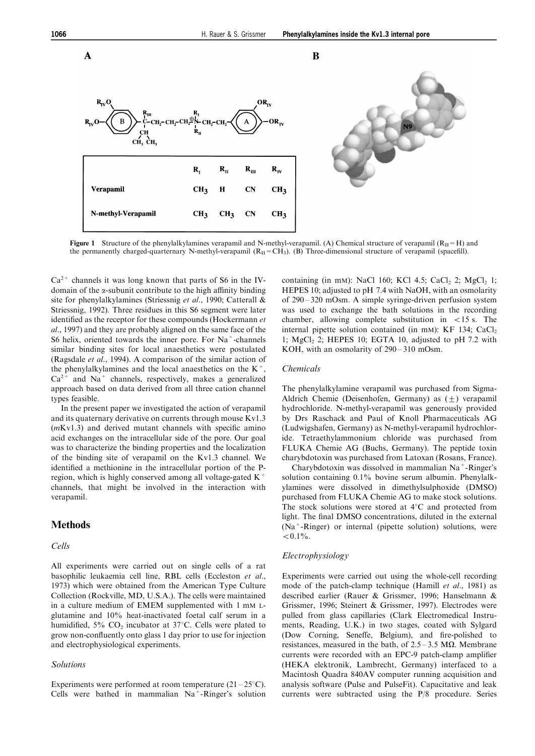

**Figure 1** Structure of the phenylalkylamines verapamil and N-methyl-verapamil. (A) Chemical structure of verapamil  $(R<sub>U</sub>=H)$  and the permanently charged-quarternary N-methyl-verapamil  $(R<sub>II</sub>=CH<sub>3</sub>)$ . (B) Three-dimensional structure of verapamil (spacefill).

 $Ca<sup>2+</sup>$  channels it was long known that parts of S6 in the IVdomain of the  $\alpha$ -subunit contribute to the high affinity binding site for phenylalkylamines (Striessnig et al., 1990; Catterall & Striessnig, 1992). Three residues in this S6 segment were later identified as the receptor for these compounds (Hockermann et al., 1997) and they are probably aligned on the same face of the S6 helix, oriented towards the inner pore. For  $Na^+$ -channels similar binding sites for local anaesthetics were postulated (Ragsdale et al., 1994). A comparison of the similar action of the phenylalkylamines and the local anaesthetics on the  $K^+$ ,  $Ca<sup>2+</sup>$  and Na<sup>+</sup> channels, respectively, makes a generalized approach based on data derived from all three cation channel types feasible.

In the present paper we investigated the action of verapamil and its quaternary derivative on currents through mouse Kv1.3  $(mKv1.3)$  and derived mutant channels with specific amino acid exchanges on the intracellular side of the pore. Our goal was to characterize the binding properties and the localization of the binding site of verapamil on the Kv1.3 channel. We identified a methionine in the intracellular portion of the Pregion, which is highly conserved among all voltage-gated  $K^+$ channels, that might be involved in the interaction with verapamil.

# **Methods**

#### Cells

All experiments were carried out on single cells of a rat basophilic leukaemia cell line, RBL cells (Eccleston et al., 1973) which were obtained from the American Type Culture Collection (Rockville, MD, U.S.A.). The cells were maintained in a culture medium of EMEM supplemented with 1 mM Lglutamine and 10% heat-inactivated foetal calf serum in a humidified, 5%  $CO<sub>2</sub>$  incubator at 37°C. Cells were plated to grow non-confluently onto glass 1 day prior to use for injection and electrophysiological experiments.

#### Solutions

Experiments were performed at room temperature  $(21-25^{\circ}C)$ . Cells were bathed in mammalian  $Na<sup>+</sup>$ -Ringer's solution containing (in mM): NaCl 160; KCl 4.5; CaCl<sub>2</sub> 2; MgCl<sub>2</sub> 1; HEPES 10; adjusted to pH 7.4 with NaOH, with an osmolarity of  $290 - 320$  mOsm. A simple syringe-driven perfusion system was used to exchange the bath solutions in the recording chamber, allowing complete substitution in  $\lt 15$  s. The internal pipette solution contained (in mM): KF 134;  $CaCl<sub>2</sub>$ 1;  $MgCl<sub>2</sub>$  2; HEPES 10; EGTA 10, adjusted to pH 7.2 with KOH, with an osmolarity of  $290 - 310$  mOsm.

#### Chemicals

The phenylalkylamine verapamil was purchased from Sigma-Aldrich Chemie (Deisenhofen, Germany) as  $(\pm)$  verapamil hydrochloride. N-methyl-verapamil was generously provided by Drs Raschack and Paul of Knoll Pharmaceuticals AG (Ludwigshafen, Germany) as N-methyl-verapamil hydrochloride. Tetraethylammonium chloride was purchased from FLUKA Chemie AG (Buchs, Germany). The peptide toxin charybdotoxin was purchased from Latoxan (Rosans, France).

Charybdotoxin was dissolved in mammalian  $Na<sup>+</sup>$ -Ringer's solution containing 0.1% bovine serum albumin. Phenylalkylamines were dissolved in dimethylsulphoxide (DMSO) purchased from FLUKA Chemie AG to make stock solutions. The stock solutions were stored at  $4^{\circ}$ C and protected from light. The final DMSO concentrations, diluted in the external  $(Na^+$ -Ringer) or internal (pipette solution) solutions, were  $< 0.1\%$ .

#### Electrophysiology

Experiments were carried out using the whole-cell recording mode of the patch-clamp technique (Hamill et al., 1981) as described earlier (Rauer & Grissmer, 1996; Hanselmann & Grissmer, 1996; Steinert & Grissmer, 1997). Electrodes were pulled from glass capillaries (Clark Electromedical Instruments, Reading, U.K.) in two stages, coated with Sylgard (Dow Corning, Seneffe, Belgium), and fire-polished to resistances, measured in the bath, of  $2.5 - 3.5$  M $\Omega$ . Membrane currents were recorded with an EPC-9 patch-clamp amplifier (HEKA elektronik, Lambrecht, Germany) interfaced to a Macintosh Quadra 840AV computer running acquisition and analysis software (Pulse and PulseFit). Capacitative and leak currents were subtracted using the P/8 procedure. Series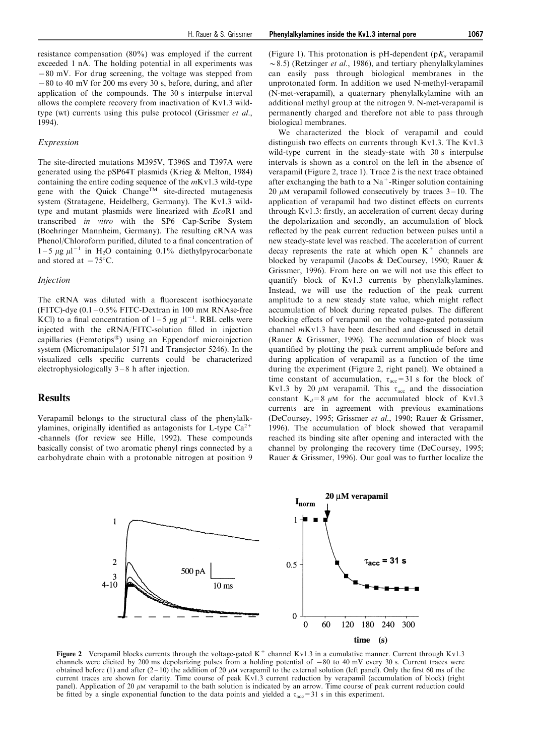resistance compensation (80%) was employed if the current exceeded 1 nA. The holding potential in all experiments was  $-80$  mV. For drug screening, the voltage was stepped from  $-80$  to 40 mV for 200 ms every 30 s, before, during, and after application of the compounds. The 30 s interpulse interval allows the complete recovery from inactivation of Kv1.3 wildtype (wt) currents using this pulse protocol (Grissmer et al., 1994).

#### Expression

The site-directed mutations M395V, T396S and T397A were generated using the pSP64T plasmids (Krieg & Melton, 1984) containing the entire coding sequence of the  $mKv1.3$  wild-type gene with the Quick  $Change^{TM}$  site-directed mutagenesis system (Stratagene, Heidelberg, Germany). The Kv1.3 wildtype and mutant plasmids were linearized with EcoR1 and transcribed in vitro with the SP6 Cap-Scribe System (Boehringer Mannheim, Germany). The resulting cRNA was Phenol/Chloroform purified, diluted to a final concentration of  $1-5 \mu g \mu l^{-1}$  in H<sub>2</sub>O containing 0.1% diethylpyrocarbonate and stored at  $-75^{\circ}$ C.

## Injection

The cRNA was diluted with a fluorescent isothiocyanate (FITC)-dye  $(0.1 - 0.5\%$  FITC-Dextran in 100 mM RNAse-free KCl) to a final concentration of  $1-5 \mu g \mu^{-1}$ . RBL cells were injected with the cRNA/FITC-solution filled in injection capillaries (Femtotips $\binom{10}{10}$  using an Eppendorf microinjection system (Micromanipulator 5171 and Transjector 5246). In the visualized cells specific currents could be characterized electrophysiologically  $3-8$  h after injection.

## Results

Verapamil belongs to the structural class of the phenylalkylamines, originally identified as antagonists for L-type  $Ca^{2+}$ -channels (for review see Hille, 1992). These compounds basically consist of two aromatic phenyl rings connected by a carbohydrate chain with a protonable nitrogen at position 9 (Figure 1). This protonation is pH-dependent ( $pK_a$  verapamil  $\sim$  8.5) (Retzinger *et al.*, 1986), and tertiary phenylalkylamines can easily pass through biological membranes in the unprotonated form. In addition we used N-methyl-verapamil (N-met-verapamil), a quaternary phenylalkylamine with an additional methyl group at the nitrogen 9. N-met-verapamil is permanently charged and therefore not able to pass through biological membranes.

We characterized the block of verapamil and could distinguish two effects on currents through Kv1.3. The Kv1.3 wild-type current in the steady-state with 30 s interpulse intervals is shown as a control on the left in the absence of verapamil (Figure 2, trace 1). Trace 2 is the next trace obtained after exchanging the bath to a  $Na<sup>+</sup>$ -Ringer solution containing 20  $\mu$ M verapamil followed consecutively by traces 3–10. The application of verapamil had two distinct effects on currents through Kv1.3: firstly, an acceleration of current decay during the depolarization and secondly, an accumulation of block reflected by the peak current reduction between pulses until a new steady-state level was reached. The acceleration of current decay represents the rate at which open  $K^+$  channels are blocked by verapamil (Jacobs & DeCoursey, 1990; Rauer & Grissmer, 1996). From here on we will not use this effect to quantify block of Kv1.3 currents by phenylalkylamines. Instead, we will use the reduction of the peak current amplitude to a new steady state value, which might reflect accumulation of block during repeated pulses. The different blocking effects of verapamil on the voltage-gated potassium channel mKv1.3 have been described and discussed in detail (Rauer & Grissmer, 1996). The accumulation of block was quantified by plotting the peak current amplitude before and during application of verapamil as a function of the time during the experiment (Figure 2, right panel). We obtained a time constant of accumulation,  $\tau_{\text{acc}} = 31$  s for the block of Kv1.3 by 20  $\mu$ M verapamil. This  $\tau_{\text{acc}}$  and the dissociation constant  $K_d=8 \mu M$  for the accumulated block of Kv1.3 currents are in agreement with previous examinations (DeCoursey, 1995; Grissmer et al., 1990; Rauer & Grissmer, 1996). The accumulation of block showed that verapamil reached its binding site after opening and interacted with the channel by prolonging the recovery time (DeCoursey, 1995; Rauer & Grissmer, 1996). Our goal was to further localize the



Figure 2 Verapamil blocks currents through the voltage-gated  $K^+$  channel Kv1.3 in a cumulative manner. Current through Kv1.3 channels were elicited by 200 ms depolarizing pulses from a holding potential of  $-80$  to 40 mV every 30 s. Current traces were obtained before (1) and after  $(2-10)$  the addition of 20  $\mu$ M verapamil to the external solution (left panel). Only the first 60 ms of the current traces are shown for clarity. Time course of peak  $Kv1.3$  current reduction by verapamil (accumulation of block) (right panel). Application of 20  $\mu$ M verapamil to the bath solution is indicated by an arrow. Time course of peak current reduction could be fitted by a single exponential function to the data points and yielded a  $\tau_{\text{acc}} = 31 \text{ s}$  in this experiment.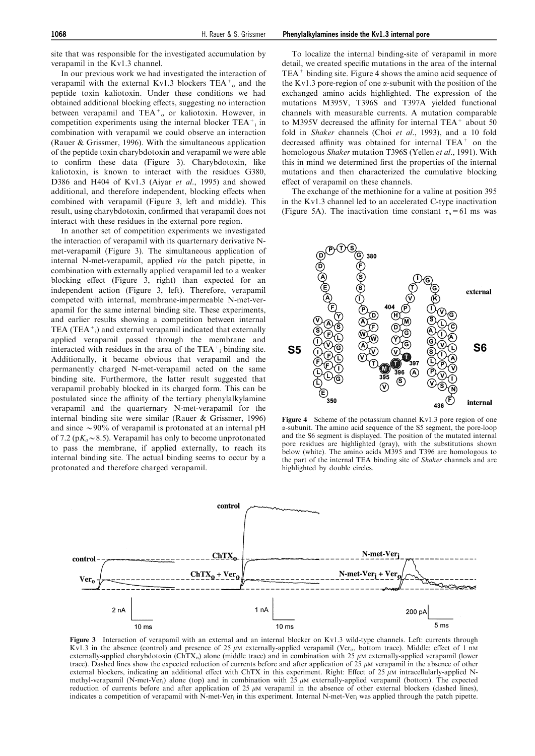site that was responsible for the investigated accumulation by verapamil in the Kv1.3 channel.

In our previous work we had investigated the interaction of verapamil with the external Kv1.3 blockers  $TEA_{o}^{+}$  and the peptide toxin kaliotoxin. Under these conditions we had obtained additional blocking effects, suggesting no interaction between verapamil and  $TEA_{o}^{+}$  or kaliotoxin. However, in competition experiments using the internal blocker  $TEA^+$  in combination with verapamil we could observe an interaction (Rauer & Grissmer, 1996). With the simultaneous application of the peptide toxin charybdotoxin and verapamil we were able to confirm these data (Figure 3). Charybdotoxin, like kaliotoxin, is known to interact with the residues G380, D386 and H404 of Kv1.3 (Aiyar et al., 1995) and showed additional, and therefore independent, blocking effects when combined with verapamil (Figure 3, left and middle). This result, using charybdotoxin, confirmed that verapamil does not interact with these residues in the external pore region.

In another set of competition experiments we investigated the interaction of verapamil with its quarternary derivative Nmet-verapamil (Figure 3). The simultaneous application of internal N-met-verapamil, applied via the patch pipette, in combination with externally applied verapamil led to a weaker blocking effect (Figure 3, right) than expected for an independent action (Figure 3, left). Therefore, verapamil competed with internal, membrane-impermeable N-met-verapamil for the same internal binding site. These experiments, and earlier results showing a competition between internal TEA (TEA $^+$ <sub>i</sub>) and external verapamil indicated that externally applied verapamil passed through the membrane and interacted with residues in the area of the  $TEA^+$ <sub>i</sub> binding site. Additionally, it became obvious that verapamil and the permanently charged N-met-verapamil acted on the same binding site. Furthermore, the latter result suggested that verapamil probably blocked in its charged form. This can be postulated since the affinity of the tertiary phenylalkylamine verapamil and the quarternary N-met-verapamil for the internal binding site were similar (Rauer & Grissmer, 1996) and since  $\sim$ 90% of verapamil is protonated at an internal pH of 7.2 ( $pK_a \sim 8.5$ ). Verapamil has only to become unprotonated to pass the membrane, if applied externally, to reach its internal binding site. The actual binding seems to occur by a protonated and therefore charged verapamil.

To localize the internal binding-site of verapamil in more detail, we created specific mutations in the area of the internal TEA<sup>+</sup> binding site. Figure 4 shows the amino acid sequence of the Kv1.3 pore-region of one  $\alpha$ -subunit with the position of the exchanged amino acids highlighted. The expression of the mutations M395V, T396S and T397A yielded functional channels with measurable currents. A mutation comparable to M395V decreased the affinity for internal TEA $^+$  about 50 fold in *Shaker* channels (Choi et al., 1993), and a 10 fold decreased affinity was obtained for internal  $TEA<sup>+</sup>$  on the homologous Shaker mutation T396S (Yellen et al., 1991). With this in mind we determined first the properties of the internal mutations and then characterized the cumulative blocking effect of verapamil on these channels.

The exchange of the methionine for a valine at position 395 in the Kv1.3 channel led to an accelerated C-type inactivation (Figure 5A). The inactivation time constant  $\tau_h$ =61 ms was



Figure 4 Scheme of the potassium channel Kv1.3 pore region of one a-subunit. The amino acid sequence of the S5 segment, the pore-loop and the S6 segment is displayed. The position of the mutated internal pore residues are highlighted (gray), with the substitutions shown below (white). The amino acids M395 and T396 are homologous to the part of the internal TEA binding site of Shaker channels and are highlighted by double circles.



Figure 3 Interaction of verapamil with an external and an internal blocker on Kv1.3 wild-type channels. Left: currents through Kv1.3 in the absence (control) and presence of 25  $\mu$ M externally-applied verapamil (Ver<sub>o</sub>, bottom trace). Middle: effect of 1 nM externally-applied charybdotoxin (ChTX<sub>0</sub>) alone (middle trace) and in combination with 25  $\mu$ M externally-applied verapamil (lower trace). Dashed lines show the expected reduction of currents before and after application of  $25 \mu$ M verapamil in the absence of other external blockers, indicating an additional effect with ChTX in this experiment. Right: Effect of 25  $\mu$ M intracellularly-applied Nmethyl-verapamil (N-met-Ver<sub>i</sub>) alone (top) and in combination with  $25 \mu$ M externally-applied verapamil (bottom). The expected reduction of currents before and after application of 25  $\mu$ M verapamil in the absence of other external blockers (dashed lines), indicates a competition of verapamil with N-met-Ver<sub>i</sub> in this experiment. Internal N-met-Ver<sub>i</sub> was applied through the patch pipette.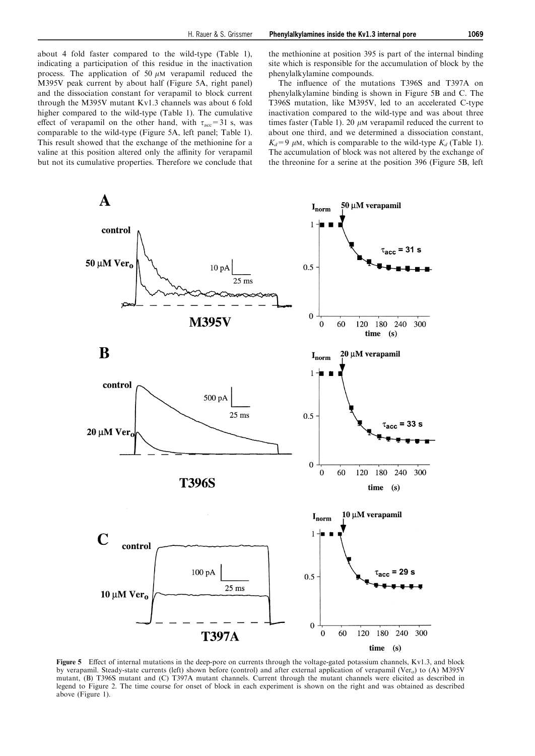about 4 fold faster compared to the wild-type (Table 1), indicating a participation of this residue in the inactivation process. The application of 50  $\mu$ M verapamil reduced the M395V peak current by about half (Figure 5A, right panel) and the dissociation constant for verapamil to block current through the M395V mutant Kv1.3 channels was about 6 fold higher compared to the wild-type (Table 1). The cumulative effect of verapamil on the other hand, with  $\tau_{\text{acc}}=31$  s, was comparable to the wild-type (Figure 5A, left panel; Table 1). This result showed that the exchange of the methionine for a valine at this position altered only the affinity for verapamil but not its cumulative properties. Therefore we conclude that

the methionine at position 395 is part of the internal binding site which is responsible for the accumulation of block by the phenylalkylamine compounds.

The influence of the mutations T396S and T397A on phenylalkylamine binding is shown in Figure 5B and C. The T396S mutation, like M395V, led to an accelerated C-type inactivation compared to the wild-type and was about three times faster (Table 1). 20  $\mu$ M verapamil reduced the current to about one third, and we determined a dissociation constant,  $K_d=9$  µM, which is comparable to the wild-type  $K_d$  (Table 1). The accumulation of block was not altered by the exchange of the threonine for a serine at the position 396 (Figure 5B, left



Figure 5 Effect of internal mutations in the deep-pore on currents through the voltage-gated potassium channels, Kv1.3, and block by verapamil. Steady-state currents (left) shown before (control) and after external application of verapamil (Ver<sub>o</sub>) to (A) M395V mutant, (B) T396S mutant and (C) T397A mutant channels. Current through the mutant channels were elicited as described in legend to Figure 2. The time course for onset of block in each experiment is shown on the right and was obtained as described above (Figure 1).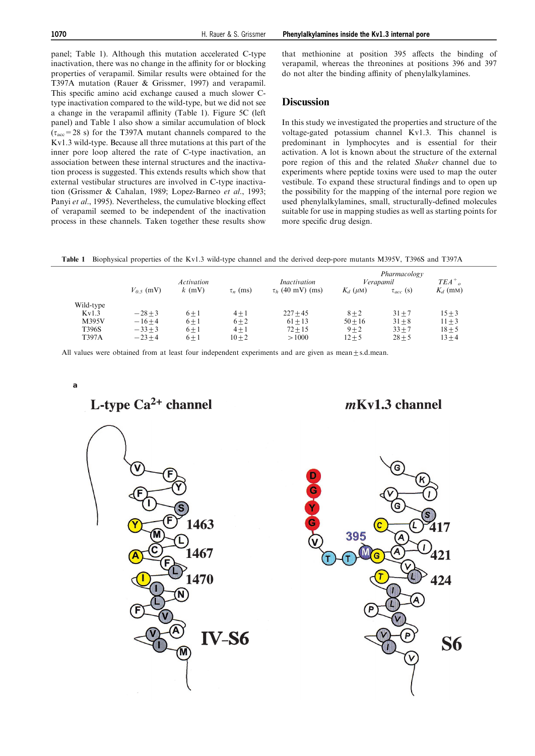panel; Table 1). Although this mutation accelerated C-type inactivation, there was no change in the affinity for or blocking properties of verapamil. Similar results were obtained for the T397A mutation (Rauer & Grissmer, 1997) and verapamil. This specific amino acid exchange caused a much slower Ctype inactivation compared to the wild-type, but we did not see a change in the verapamil affinity (Table 1). Figure 5C (left panel) and Table 1 also show a similar accumulation of block  $(\tau_{\rm acc}=28 \text{ s})$  for the T397A mutant channels compared to the Kv1.3 wild-type. Because all three mutations at this part of the inner pore loop altered the rate of C-type inactivation, an association between these internal structures and the inactivation process is suggested. This extends results which show that external vestibular structures are involved in C-type inactivation (Grissmer & Cahalan, 1989; Lopez-Barneo et al., 1993; Panyi et al., 1995). Nevertheless, the cumulative blocking effect of verapamil seemed to be independent of the inactivation process in these channels. Taken together these results show

that methionine at position 395 affects the binding of verapamil, whereas the threonines at positions 396 and 397 do not alter the binding affinity of phenylalkylamines.

#### **Discussion**

In this study we investigated the properties and structure of the voltage-gated potassium channel Kv1.3. This channel is predominant in lymphocytes and is essential for their activation. A lot is known about the structure of the external pore region of this and the related Shaker channel due to experiments where peptide toxins were used to map the outer vestibule. To expand these structural findings and to open up the possibility for the mapping of the internal pore region we used phenylalkylamines, small, structurally-defined molecules suitable for use in mapping studies as well as starting points for more specific drug design.

Table 1 Biophysical properties of the Kv1.3 wild-type channel and the derived deep-pore mutants M395V, T396S and T397A

|           |              | <b>Activation</b> | $\tau_n$ (ms) | <i>Inactivation</i><br>$\tau_h$ (40 mV) (ms) | Pharmacology<br>Verapamil |                  | $TEA^+$    |
|-----------|--------------|-------------------|---------------|----------------------------------------------|---------------------------|------------------|------------|
|           | $V_0$ s (mV) | $k$ (mV)          |               |                                              | $K_d$ ( $\mu$ M)          | $\tau_{acc}$ (s) | $K_d$ (mm) |
| Wild-type |              |                   |               |                                              |                           |                  |            |
| Kv1.3     | $-28+3$      | $6 \pm 1$         | $4 + 1$       | $227 + 45$                                   | $8 + 2$                   | $31 + 7$         | $15 + 3$   |
| M395V     | $-16+4$      | $6 \pm 1$         | $6 + 2$       | $61 + 13$                                    | $50 + 16$                 | $31 + 8$         | $11 + 3$   |
| T396S     | $-33+3$      | $6 \pm 1$         | $4 + 1$       | $72 + 15$                                    | $9 + 2$                   | $33 + 7$         | $18 + 5$   |
| T397A     | $-23+4$      | $6 \pm 1$         | $10 + 2$      | >1000                                        | $12 + 5$                  | $28 + 5$         | $13 + 4$   |

All values were obtained from at least four independent experiments and are given as mean $\pm$ s.d.mean.

**a**

L-type  $Ca^{2+}$  channel

 $mKv1.3$  channel



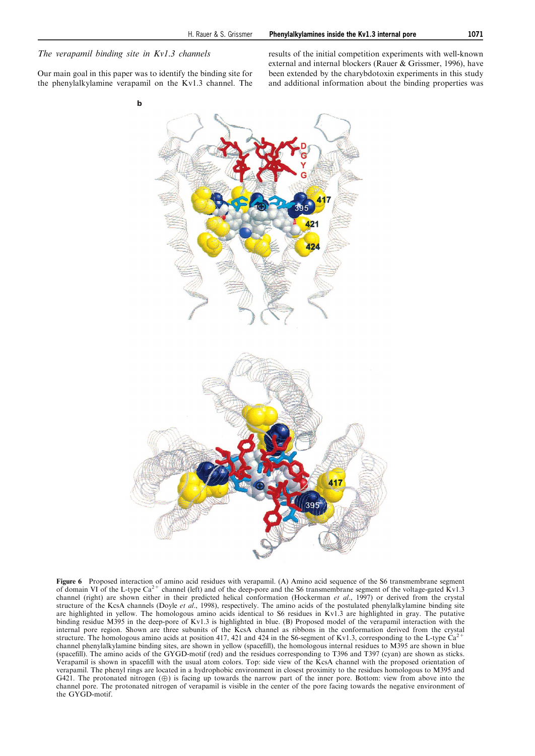## The verapamil binding site in Kv1.3 channels

Our main goal in this paper was to identify the binding site for the phenylalkylamine verapamil on the Kv1.3 channel. The results of the initial competition experiments with well-known external and internal blockers (Rauer & Grissmer, 1996), have been extended by the charybdotoxin experiments in this study and additional information about the binding properties was



Figure 6 Proposed interaction of amino acid residues with verapamil. (A) Amino acid sequence of the S6 transmembrane segment of domain VI of the L-type  $Ca^{2+}$  channel (left) and of the deep-pore and the S6 transmembrane segment of the voltage-gated Kv1.3 channel (right) are shown either in their predicted helical conformation (Hockerman et al., 1997) or derived from the crystal structure of the KcsA channels (Doyle et al., 1998), respectively. The amino acids of the postulated phenylalkylamine binding site are highlighted in yellow. The homologous amino acids identical to S6 residues in Kv1.3 are highlighted in gray. The putative binding residue M395 in the deep-pore of Kv1.3 is highlighted in blue. (B) Proposed model of the verapamil interaction with the internal pore region. Shown are three subunits of the KcsA channel as ribbons in the conformation derived from the crystal structure. The homologous amino acids at position 417, 421 and 424 in the S6-segment of Kv1.3, corresponding to the L-type  $\check{Ca}^2$ channel phenylalkylamine binding sites, are shown in yellow (spacefill), the homologous internal residues to M395 are shown in blue (spacefill). The amino acids of the GYGD-motif (red) and the residues corresponding to T396 and T397 (cyan) are shown as sticks. Verapamil is shown in spacefill with the usual atom colors. Top: side view of the KcsA channel with the proposed orientation of verapamil. The phenyl rings are located in a hydrophobic environment in closest proximity to the residues homologous to M395 and G421. The protonated nitrogen  $(\oplus)$  is facing up towards the narrow part of the inner pore. Bottom: view from above into the channel pore. The protonated nitrogen of verapamil is visible in the center of the pore facing towards the negative environment of the GYGD-motif.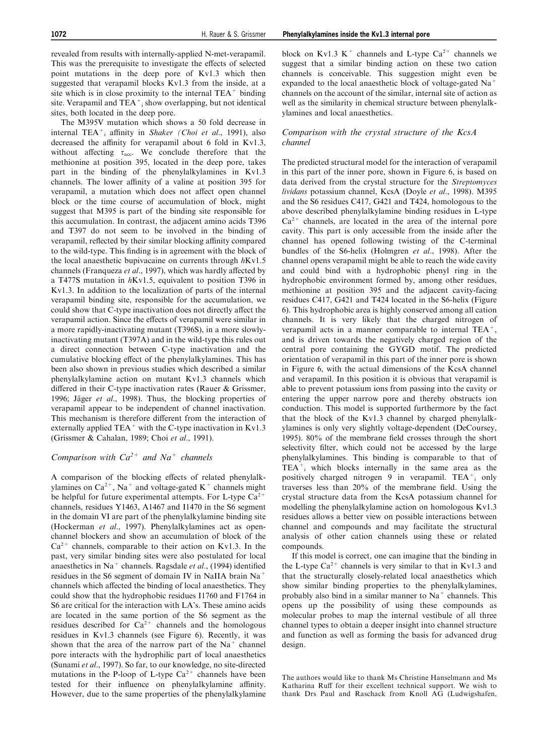revealed from results with internally-applied N-met-verapamil. This was the prerequisite to investigate the effects of selected point mutations in the deep pore of Kv1.3 which then suggested that verapamil blocks Kv1.3 from the inside, at a site which is in close proximity to the internal  $TEA^+$  binding site. Verapamil and  $TEA^+$ ; show overlapping, but not identical sites, both located in the deep pore.

The M395V mutation which shows a 50 fold decrease in internal TEA<sup>+</sup><sub>i</sub> affinity in Shaker (Choi et al., 1991), also decreased the affinity for verapamil about 6 fold in Kv1.3, without affecting  $\tau_{\text{acc}}$ . We conclude therefore that the methionine at position 395, located in the deep pore, takes part in the binding of the phenylalkylamines in Kv1.3 channels. The lower affinity of a valine at position 395 for verapamil, a mutation which does not affect open channel block or the time course of accumulation of block, might suggest that M395 is part of the binding site responsible for this accumulation. In contrast, the adjacent amino acids T396 and T397 do not seem to be involved in the binding of verapamil, reflected by their similar blocking affinity compared to the wild-type. This finding is in agreement with the block of the local anaesthetic bupivacaine on currents through  $h$ Kv1.5 channels (Franqueza et al., 1997), which was hardly affected by a T477S mutation in hKv1.5, equivalent to position T396 in Kv1.3. In addition to the localization of parts of the internal verapamil binding site, responsible for the accumulation, we could show that C-type inactivation does not directly affect the verapamil action. Since the effects of verapamil were similar in a more rapidly-inactivating mutant (T396S), in a more slowlyinactivating mutant (T397A) and in the wild-type this rules out a direct connection between C-type inactivation and the cumulative blocking effect of the phenylalkylamines. This has been also shown in previous studies which described a similar phenylalkylamine action on mutant Kv1.3 channels which differed in their C-type inactivation rates (Rauer  $\&$  Grissmer, 1996; Jäger et al., 1998). Thus, the blocking properties of verapamil appear to be independent of channel inactivation. This mechanism is therefore different from the interaction of externally applied  $TEA^+$  with the C-type inactivation in Kv1.3 (Grissmer & Cahalan, 1989; Choi et al., 1991).

## Comparison with  $Ca^{2+}$  and  $Na^{+}$  channels

A comparison of the blocking effects of related phenylalkylamines on  $Ca^{2+}$ , Na<sup>+</sup> and voltage-gated K<sup>+</sup> channels might be helpful for future experimental attempts. For L-type  $Ca^{2+}$ channels, residues Y1463, A1467 and I1470 in the S6 segment in the domain VI are part of the phenylalkylamine binding site (Hockerman et al., 1997). Phenylalkylamines act as openchannel blockers and show an accumulation of block of the  $Ca^{2+}$  channels, comparable to their action on Kv1.3. In the past, very similar binding sites were also postulated for local anaesthetics in Na<sup>+</sup> channels. Ragsdale *et al.*, (1994) identified residues in the S6 segment of domain IV in NaIIA brain Na+ channels which affected the binding of local anaesthetics. They could show that the hydrophobic residues I1760 and F1764 in S6 are critical for the interaction with LA's. These amino acids are located in the same portion of the S6 segment as the residues described for  $Ca^{2+}$  channels and the homologous residues in Kv1.3 channels (see Figure 6). Recently, it was shown that the area of the narrow part of the  $Na<sup>+</sup>$  channel pore interacts with the hydrophilic part of local anaesthetics (Sunami et al., 1997). So far, to our knowledge, no site-directed mutations in the P-loop of L-type  $Ca^{2+}$  channels have been tested for their influence on phenylalkylamine affinity. However, due to the same properties of the phenylalkylamine block on Kv1.3 K<sup>+</sup> channels and L-type  $Ca^{2+}$  channels we suggest that a similar binding action on these two cation channels is conceivable. This suggestion might even be expanded to the local anaesthetic block of voltage-gated Na+ channels on the account of the similar, internal site of action as well as the similarity in chemical structure between phenylalkylamines and local anaesthetics.

#### Comparison with the crystal structure of the KcsA channel

The predicted structural model for the interaction of verapamil in this part of the inner pore, shown in Figure 6, is based on data derived from the crystal structure for the Streptomyces lividans potassium channel, KcsA (Doyle et al., 1998). M395 and the S6 residues C417, G421 and T424, homologous to the above described phenylalkylamine binding residues in L-type  $Ca<sup>2+</sup>$  channels, are located in the area of the internal pore cavity. This part is only accessible from the inside after the channel has opened following twisting of the C-terminal bundles of the S6-helix (Holmgren et al., 1998). After the channel opens verapamil might be able to reach the wide cavity and could bind with a hydrophobic phenyl ring in the hydrophobic environment formed by, among other residues, methionine at position 395 and the adjacent cavity-facing residues C417, G421 and T424 located in the S6-helix (Figure 6). This hydrophobic area is highly conserved among all cation channels. It is very likely that the charged nitrogen of verapamil acts in a manner comparable to internal TEA<sup>+</sup>, and is driven towards the negatively charged region of the central pore containing the GYGD motif. The predicted orientation of verapamil in this part of the inner pore is shown in Figure 6, with the actual dimensions of the KcsA channel and verapamil. In this position it is obvious that verapamil is able to prevent potassium ions from passing into the cavity or entering the upper narrow pore and thereby obstructs ion conduction. This model is supported furthermore by the fact that the block of the Kv1.3 channel by charged phenylalkylamines is only very slightly voltage-dependent (DeCoursey, 1995).  $80\%$  of the membrane field crosses through the short selectivity filter, which could not be accessed by the large phenylalkylamines. This binding is comparable to that of  $TEA<sup>+</sup><sub>i</sub>$  which blocks internally in the same area as the positively charged nitrogen 9 in verapamil.  $TEA_{i}^{+}$  only traverses less than  $20\%$  of the membrane field. Using the crystal structure data from the KcsA potassium channel for modelling the phenylalkylamine action on homologous Kv1.3 residues allows a better view on possible interactions between channel and compounds and may facilitate the structural analysis of other cation channels using these or related compounds.

If this model is correct, one can imagine that the binding in the L-type  $Ca^{2+}$  channels is very similar to that in Kv1.3 and that the structurally closely-related local anaesthetics which show similar binding properties to the phenylalkylamines, probably also bind in a similar manner to  $Na<sup>+</sup>$  channels. This opens up the possibility of using these compounds as molecular probes to map the internal vestibule of all three channel types to obtain a deeper insight into channel structure and function as well as forming the basis for advanced drug design.

The authors would like to thank Ms Christine Hanselmann and Ms Katharina Ruff for their excellent technical support. We wish to thank Drs Paul and Raschack from Knoll AG (Ludwigshafen,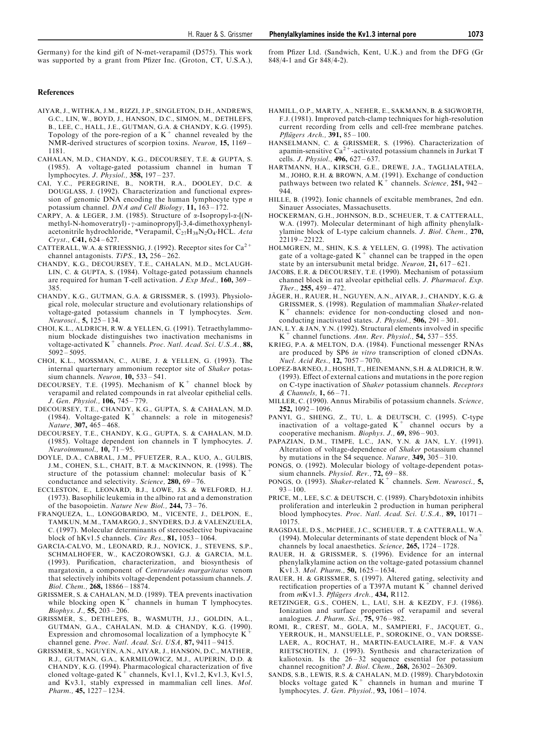References

- AIYAR, J., WITHKA, J.M., RIZZI, J.P., SINGLETON, D.H., ANDREWS, G.C., LIN, W., BOYD, J., HANSON, D.C., SIMON, M., DETHLEFS, B., LEE, C., HALL, J.E., GUTMAN, G.A. & CHANDY, K.G. (1995).<br>Topology of the pore-region of a K<sup>+</sup> channel revealed by the NMR-derived structures of scorpion toxins. Neuron, 15, 1169 -1181.
- CAHALAN, M.D., CHANDY, K.G., DECOURSEY, T.E. & GUPTA, S. (1985). A voltage-gated potassium channel in human T lymphocytes. J. Physiol., 358, 197-237.
- CAI, Y.C., PEREGRINE, B., NORTH, R.A., DOOLEY, D.C. & DOUGLASS, J. (1992). Characterization and functional expression of genomic DNA encoding the human lymphocyte type n potassium channel. DNA and Cell Biology, 11, 163-172.
- CARPY, A. & LEGER, J.M. (1985). Structure of  $\alpha$ -Isopropyl- $\alpha$ -[(Nmethyl-N-homoveratryl) -  $\gamma$ -aminopropyl]-3,4-dimethoxyphenylacetonitrile hydrochloride, \*Verapamil,  $C_{27}H_{38}N_2O_4$ ·HCL. Acta  $Cryst., C41, 624 - 627.$
- CATTERALL, W.A. & STRIESSNIG, J. (1992). Receptor sites for  $Ca^{2+}$ channel antagonists. TiPS.,  $13$ ,  $256 - 262$ .
- CHANDY, K.G., DECOURSEY, T.E., CAHALAN, M.D., MCLAUGH-LIN, C. & GUPTA, S. (1984). Voltage-gated potassium channels are required for human T-cell activation.  $J \r{Exp Med.}$  160, 369 – 385.
- CHANDY, K.G., GUTMAN, G.A. & GRISSMER, S. (1993). Physiological role, molecular structure and evolutionary relationships of voltage-gated potassium channels in T lymphocytes. Sem. Neurosci.,  $5, 125 - 134$ .
- CHOI, K.L., ALDRICH, R.W. & YELLEN, G. (1991). Tetraethylammonium blockade distinguishes two inactivation mechanisms in voltage-activated  $K^+$  channels. Proc. Natl. Acad. Sci. U.S.A., 88,  $5092 - 5095.$
- CHOI, K.L., MOSSMAN, C., AUBE, J. & YELLEN, G. (1993). The internal quarternary ammonium receptor site of Shaker potassium channels. Neuron,  $10$ ,  $533 - 541$ .
- DECOURSEY, T.E. (1995). Mechanism of  $K^+$  channel block by verapamil and related compounds in rat alveolar epithelial cells. J. Gen. Physiol., 106, 745-779.
- DECOURSEY, T.E., CHANDY, K.G., GUPTA, S. & CAHALAN, M.D. (1984). Voltage-gated  $K^+$  channels: a role in mitogenesis? Nature, 307, 465-468.
- DECOURSEY, T.E., CHANDY, K.G., GUPTA, S. & CAHALAN, M.D. (1985). Voltage dependent ion channels in T lymphocytes. J.  $Neuro immunol., 10, 71 - 95.$
- DOYLE, D.A., CABRAL, J.M., PFUETZER, R.A., KUO, A., GULBIS, J.M., COHEN, S.L., CHAIT, B.T. & MACKINNON, R. (1998). The structure of the potassium channel: molecular basis of  $K^+$ conductance and selectivity. Science,  $280$ ,  $69 - 76$ .
- ECCLESTON, E., LEONARD, B.J., LOWE, J.S. & WELFORD, H.J. (1973). Basophilic leukemia in the albino rat and a demonstration of the basopoietin. Nature New Biol.,  $244$ ,  $73-76$ .
- FRANQUEZA, L., LONGOBARDO, M., VICENTE, J., DELPON, E., TAMKUN, M.M., TAMARGO, J., SNYDERS, D.J. & VALENZUELA, C. (1997). Molecular determinants of stereoselective bupivacaine block of hKv1.5 channels. Circ Res.,  $81$ , 1053 - 1064.
- GARCIA-CALVO, M., LEONARD, R.J., NOVICK, J., STEVENS, S.P., SCHMALHOFER, W., KACZOROWSKI, G.J. & GARCIA, M.L. (1993). Purification, characterization, and biosynthesis of margatoxin, a component of Centruroides margaritatus venom that selectively inhibits voltage-dependent potassium channels. J. Biol. Chem., 268, 18866-18874.
- GRISSMER, S. & CAHALAN, M.D. (1989). TEA prevents inactivation while blocking open  $K^+$  channels in human T lymphocytes. Biophys. J.,  $55$ ,  $203 - 206$ .
- GRISSMER, S., DETHLEFS, B., WASMUTH, J.J., GOLDIN, A.L., GUTMAN, G.A., CAHALAN, M.D. & CHANDY, K.G. (1990). Expression and chromosomal localization of a lymphocyte K<sup>+</sup> channel gene. Proc. Natl. Acad. Sci. USA,  $87, 9411 - 9415$ .
- GRISSMER, S., NGUYEN, A.N., AIYAR, J., HANSON, D.C., MATHER, R.J., GUTMAN, G.A., KARMILOWICZ, M.J., AUPERIN, D.D. & CHANDY, K.G. (1994). Pharmacological characterization of five cloned voltage-gated  $K^+$  channels,  $Kv1.1, Kv1.2, Kv1.3, Kv1.5,$ and Kv3.1, stably expressed in mammalian cell lines. Mol. Pharm.,  $45, 1227 - 1234.$
- HAMILL, O.P., MARTY, A., NEHER, E., SAKMANN, B. & SIGWORTH, F.J. (1981). Improved patch-clamp techniques for high-resolution current recording from cells and cell-free membrane patches. Pflügers Arch.,  $391, 85 - 100$ .
- HANSELMANN, C. & GRISSMER, S. (1996). Characterization of apamin-sensitive Ca<sup>2+</sup>-activated potassium channels in Jurkat T cells. *J. Physiol.*, **496**, 627-637.
- HARTMANN, H.A., KIRSCH, G.E., DREWE, J.A., TAGLIALATELA, M., JOHO, R.H. & BROWN, A.M. (1991). Exchange of conduction pathways between two related  $K^+$  channels. Science, 251, 942 – 944.
- HILLE, B. (1992). Ionic channels of excitable membranes, 2nd edn. Sinauer Associates, Massachusetts.
- HOCKERMAN, G.H., JOHNSON, B.D., SCHEUER, T. & CATTERALL, W.A. (1997). Molecular determinant of high affinity phenylalkylamine block of L-type calcium channels. J. Biol. Chem., 270,  $22119 - 22122$ .
- HOLMGREN, M., SHIN, K.S. & YELLEN, G. (1998). The activation gate of a voltage-gated  $K^+$  channel can be trapped in the open state by an intersubunit metal bridge. Neuron,  $21$ ,  $617 - 621$ .
- JACOBS, E.R. & DECOURSEY, T.E. (1990). Mechanism of potassium channel block in rat alveolar epithelial cells. J. Pharmacol. Exp. Ther.,  $255, 459 - 472$ .
- JÄGER, H., RAUER, H., NGUYEN, A.N., AIYAR, J., CHANDY, K.G. & GRISSMER, S. (1998). Regulation of mammalian Shaker-related  $K^+$  channels: evidence for non-conducting closed and nonconducting inactivated states. J. Physiol.,  $\overline{506}$ , 291 – 301.
- JAN, L.Y. & JAN, Y.N. (1992). Structural elements involved in specific  $K^+$  channel functions. Ann. Rev. Physiol., 54, 537–555.
- KRIEG, P.A. & MELTON, D.A. (1984). Functional messenger RNAs are produced by SP6 in vitro transcription of cloned cDNAs. Nucl. Acid Res., 12, 7057-7070.
- LOPEZ-BARNEO, J., HOSHI, T., HEINEMANN, S.H. & ALDRICH, R.W. (1993). Effect of external cations and mutations in the pore region on C-type inactivation of Shaker potassium channels. Receptors  $&$  Channels, 1, 66 – 71.
- MILLER, C. (1990). Annus Mirabilis of potassium channels. Science, 252,  $1092 - 1096$ .
- PANYI, G., SHENG, Z., TU, L. & DEUTSCH, C. (1995). C-type inactivation of a voltage-gated  $K^+$  channel occurs by a cooperative mechanism. Biophys. J.,  $69$ ,  $896 - 903$ .
- PAPAZIAN, D.M., TIMPE, L.C., JAN, Y.N. & JAN, L.Y. (1991). Alteration of voltage-dependence of Shaker potassium channel by mutations in the S4 sequence. Nature,  $349, 305 - 310$ .
- PONGS, O. (1992). Molecular biology of voltage-dependent potassium channels. *Physiol. Rev.*,  $72, 69 - 88$ .
- PONGS, O. (1993). Shaker-related  $K^+$  channels. Sem. Neurosci., 5,  $93 - 100.$
- PRICE, M., LEE, S.C. & DEUTSCH, C. (1989). Charybdotoxin inhibits proliferation and interleukin 2 production in human peripheral blood lymphocytes. Proc. Natl. Acad. Sci. U.S.A., 89, 10171 -10175.
- RAGSDALE, D.S., MCPHEE, J.C., SCHEUER, T. & CATTERALL, W.A. (1994). Molecular determinants of state dependent block of Na<sup>+</sup> channels by local anaesthetics. Science,  $265$ ,  $1724 - 1728$ .
- RAUER, H. & GRISSMER, S. (1996). Evidence for an internal phenylalkylamine action on the voltage-gated potassium channel Kv1.3. Mol. Pharm., 50, 1625-1634.
- RAUER, H. & GRISSMER, S. (1997). Altered gating, selectivity and rectification properties of a T397A mutant  $K^+$  channel derived from  $mKv1.3$ . Pflügers Arch., 434, R112.
- RETZINGER, G.S., COHEN, L., LAU, S.H. & KEZDY, F.J. (1986). Ionization and surface properties of verapamil and several analogues. J. Pharm. Sci.,  $75$ ,  $976 - 982$ .
- ROMI, R., CREST, M., GOLA, M., SAMPIERI, F., JACQUET, G., YERROUK, H., MANSUELLE, P., SOROKINE, O., VAN DORSSE-LAER, A., ROCHAT, H., MARTIN-EAUCLAIRE, M.-F. & VAN RIETSCHOTEN, J. (1993). Synthesis and characterization of kaliotoxin. Is the  $26 - 32$  sequence essential for potassium channel recognition? J. Biol. Chem.,  $268$ ,  $26302 - 26309$ .
- SANDS, S.B., LEWIS, R.S. & CAHALAN, M.D. (1989). Charybdotoxin blocks voltage gated  $K^+$  channels in human and murine T lymphocytes. J. Gen. Physiol., 93, 1061-1074.